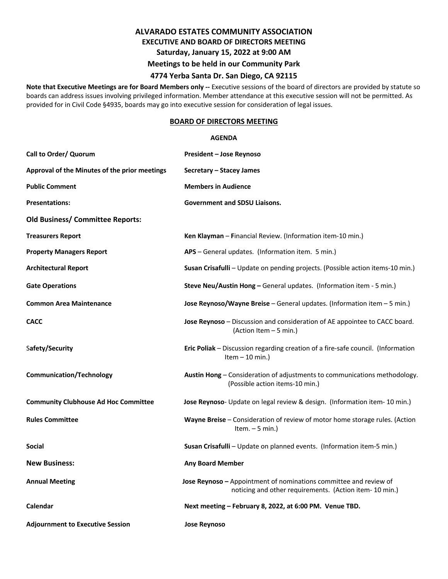# **ALVARADO ESTATES COMMUNITY ASSOCIATION EXECUTIVE AND BOARD OF DIRECTORS MEETING Saturday, January 15, 2022 at 9:00 AM Meetings to be held in our Community Park**

### **4774 Yerba Santa Dr. San Diego, CA 92115**

**Note that Executive Meetings are for Board Members only --** Executive sessions of the board of directors are provided by statute so boards can address issues involving privileged information. Member attendance at this executive session will not be permitted. As provided for in Civil Code §4935, boards may go into executive session for consideration of legal issues.

# **BOARD OF DIRECTORS MEETING**

#### **AGENDA**

| Call to Order/ Quorum                         | President – Jose Reynoso                                                                                                     |
|-----------------------------------------------|------------------------------------------------------------------------------------------------------------------------------|
| Approval of the Minutes of the prior meetings | Secretary – Stacey James                                                                                                     |
| <b>Public Comment</b>                         | <b>Members in Audience</b>                                                                                                   |
| <b>Presentations:</b>                         | <b>Government and SDSU Liaisons.</b>                                                                                         |
| <b>Old Business/ Committee Reports:</b>       |                                                                                                                              |
| <b>Treasurers Report</b>                      | Ken Klayman - Financial Review. (Information item-10 min.)                                                                   |
| <b>Property Managers Report</b>               | APS - General updates. (Information item. 5 min.)                                                                            |
| <b>Architectural Report</b>                   | Susan Crisafulli - Update on pending projects. (Possible action items-10 min.)                                               |
| <b>Gate Operations</b>                        | Steve Neu/Austin Hong - General updates. (Information item - 5 min.)                                                         |
| <b>Common Area Maintenance</b>                | Jose Reynoso/Wayne Breise - General updates. (Information item $-5$ min.)                                                    |
| <b>CACC</b>                                   | Jose Reynoso - Discussion and consideration of AE appointee to CACC board.<br>(Action Item - 5 min.)                         |
| Safety/Security                               | Eric Poliak - Discussion regarding creation of a fire-safe council. (Information<br>Item $-10$ min.)                         |
| <b>Communication/Technology</b>               | Austin Hong - Consideration of adjustments to communications methodology.<br>(Possible action items-10 min.)                 |
| <b>Community Clubhouse Ad Hoc Committee</b>   | Jose Reynoso- Update on legal review & design. (Information item- 10 min.)                                                   |
| <b>Rules Committee</b>                        | Wayne Breise - Consideration of review of motor home storage rules. (Action<br>Item. $-5$ min.)                              |
| Social                                        | Susan Crisafulli - Update on planned events. (Information item-5 min.)                                                       |
| <b>New Business:</b>                          | <b>Any Board Member</b>                                                                                                      |
| <b>Annual Meeting</b>                         | Jose Reynoso - Appointment of nominations committee and review of<br>noticing and other requirements. (Action item- 10 min.) |
| Calendar                                      | Next meeting - February 8, 2022, at 6:00 PM. Venue TBD.                                                                      |
| <b>Adjournment to Executive Session</b>       | <b>Jose Reynoso</b>                                                                                                          |